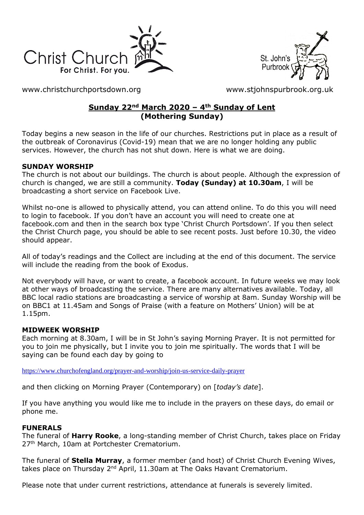



[www.christchurchportsdown.org](http://www.christchurchportsdown.org/) [www.stjohnspurbrook.org.uk](http://www.stjohnspurbrook.org.uk/)

### **Sunday 22nd March 2020 – 4th Sunday of Lent (Mothering Sunday)**

Today begins a new season in the life of our churches. Restrictions put in place as a result of the outbreak of Coronavirus (Covid-19) mean that we are no longer holding any public services. However, the church has not shut down. Here is what we are doing.

### **SUNDAY WORSHIP**

The church is not about our buildings. The church is about people. Although the expression of church is changed, we are still a community. **Today (Sunday) at 10.30am**, I will be broadcasting a short service on Facebook Live.

Whilst no-one is allowed to physically attend, you can attend online. To do this you will need to login to facebook. If you don't have an account you will need to create one at facebook.com and then in the search box type 'Christ Church Portsdown'. If you then select the Christ Church page, you should be able to see recent posts. Just before 10.30, the video should appear.

All of today's readings and the Collect are including at the end of this document. The service will include the reading from the book of Exodus.

Not everybody will have, or want to create, a facebook account. In future weeks we may look at other ways of broadcasting the service. There are many alternatives available. Today, all BBC local radio stations are broadcasting a service of worship at 8am. Sunday Worship will be on BBC1 at 11.45am and Songs of Praise (with a feature on Mothers' Union) will be at 1.15pm.

### **MIDWEEK WORSHIP**

Each morning at 8.30am, I will be in St John's saying Morning Prayer. It is not permitted for you to join me physically, but I invite you to join me spiritually. The words that I will be saying can be found each day by going to

<https://www.churchofengland.org/prayer-and-worship/join-us-service-daily-prayer>

and then clicking on Morning Prayer (Contemporary) on [*today's date*].

If you have anything you would like me to include in the prayers on these days, do email or phone me.

### **FUNERALS**

The funeral of **Harry Rooke**, a long-standing member of Christ Church, takes place on Friday 27<sup>th</sup> March, 10am at Portchester Crematorium.

The funeral of **Stella Murray**, a former member (and host) of Christ Church Evening Wives, takes place on Thursday 2<sup>nd</sup> April, 11.30am at The Oaks Havant Crematorium.

Please note that under current restrictions, attendance at funerals is severely limited.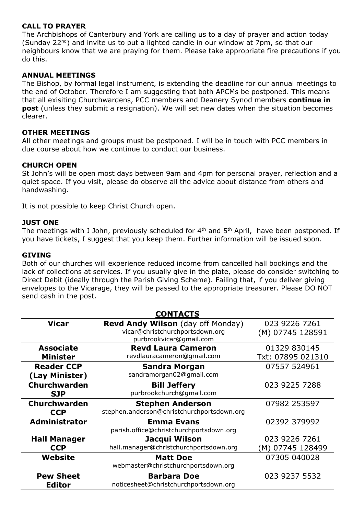#### **CALL TO PRAYER**

The Archbishops of Canterbury and York are calling us to a day of prayer and action today (Sunday  $22^{nd}$ ) and invite us to put a lighted candle in our window at 7pm, so that our neighbours know that we are praying for them. Please take appropriate fire precautions if you do this.

#### **ANNUAL MEETINGS**

The Bishop, by formal legal instrument, is extending the deadline for our annual meetings to the end of October. Therefore I am suggesting that both APCMs be postponed. This means that all exisiting Churchwardens, PCC members and Deanery Synod members **continue in post** (unless they submit a resignation). We will set new dates when the situation becomes clearer.

#### **OTHER MEETINGS**

All other meetings and groups must be postponed. I will be in touch with PCC members in due course about how we continue to conduct our business.

#### **CHURCH OPEN**

St John's will be open most days between 9am and 4pm for personal prayer, reflection and a quiet space. If you visit, please do observe all the advice about distance from others and handwashing.

It is not possible to keep Christ Church open.

#### **JUST ONE**

The meetings with J John, previously scheduled for  $4<sup>th</sup>$  and  $5<sup>th</sup>$  April, have been postponed. If you have tickets, I suggest that you keep them. Further information will be issued soon.

#### **GIVING**

Both of our churches will experience reduced income from cancelled hall bookings and the lack of collections at services. If you usually give in the plate, please do consider switching to Direct Debit (ideally through the Parish Giving Scheme). Failing that, if you deliver giving envelopes to the Vicarage, they will be passed to the appropriate treasurer. Please DO NOT send cash in the post.

| <b>CONTACTS</b>                     |                                                                                                        |                                   |
|-------------------------------------|--------------------------------------------------------------------------------------------------------|-----------------------------------|
| Vicar                               | <b>Revd Andy Wilson</b> (day off Monday)<br>vicar@christchurchportsdown.org<br>purbrookvicar@gmail.com | 023 9226 7261<br>(M) 07745 128591 |
| <b>Associate</b><br><b>Minister</b> | <b>Revd Laura Cameron</b><br>revdlauracameron@gmail.com                                                | 01329 830145<br>Txt: 07895 021310 |
| <b>Reader CCP</b><br>(Lay Minister) | <b>Sandra Morgan</b><br>sandramorgan02@gmail.com                                                       | 07557 524961                      |
| <b>Churchwarden</b><br><b>SJP</b>   | <b>Bill Jeffery</b><br>purbrookchurch@gmail.com                                                        | 023 9225 7288                     |
| <b>Churchwarden</b><br><b>CCP</b>   | <b>Stephen Anderson</b><br>stephen.anderson@christchurchportsdown.org                                  | 07982 253597                      |
| <b>Administrator</b>                | <b>Emma Evans</b><br>parish.office@christchurchportsdown.org                                           | 02392 379992                      |
| <b>Hall Manager</b><br><b>CCP</b>   | Jacqui Wilson<br>hall.manager@christchurchportsdown.org                                                | 023 9226 7261<br>(M) 07745 128499 |
| Website                             | <b>Matt Doe</b><br>webmaster@christchurchportsdown.org                                                 | 07305 040028                      |
| <b>Pew Sheet</b><br><b>Editor</b>   | <b>Barbara Doe</b><br>noticesheet@christchurchportsdown.org                                            | 023 9237 5532                     |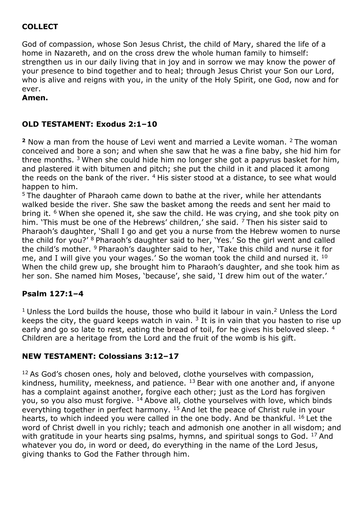# **COLLECT**

God of compassion, whose Son Jesus Christ, the child of Mary, shared the life of a home in Nazareth, and on the cross drew the whole human family to himself: strengthen us in our daily living that in joy and in sorrow we may know the power of your presence to bind together and to heal; through Jesus Christ your Son our Lord, who is alive and reigns with you, in the unity of the Holy Spirit, one God, now and for ever.

**Amen.**

# **OLD TESTAMENT: Exodus 2:1–10**

**<sup>2</sup>** Now a man from the house of Levi went and married a Levite woman. <sup>2</sup>The woman conceived and bore a son; and when she saw that he was a fine baby, she hid him for three months.  $3$  When she could hide him no longer she got a papyrus basket for him, and plastered it with bitumen and pitch; she put the child in it and placed it among the reeds on the bank of the river.  $4$  His sister stood at a distance, to see what would happen to him.

<sup>5</sup> The daughter of Pharaoh came down to bathe at the river, while her attendants walked beside the river. She saw the basket among the reeds and sent her maid to bring it. <sup>6</sup> When she opened it, she saw the child. He was crying, and she took pity on him. 'This must be one of the Hebrews' children,' she said. <sup>7</sup> Then his sister said to Pharaoh's daughter, 'Shall I go and get you a nurse from the Hebrew women to nurse the child for you?' <sup>8</sup> Pharaoh's daughter said to her, 'Yes.' So the girl went and called the child's mother. <sup>9</sup> Pharaoh's daughter said to her, 'Take this child and nurse it for me, and I will give you your wages.' So the woman took the child and nursed it. <sup>10</sup> When the child grew up, she brought him to Pharaoh's daughter, and she took him as her son. She named him Moses, 'because', she said, 'I drew him out of the water.'

## **Psalm 127:1–4**

 $1$  Unless the Lord builds the house, those who build it labour in vain.<sup>2</sup> Unless the Lord keeps the city, the guard keeps watch in vain.  $3$  It is in vain that you hasten to rise up early and go so late to rest, eating the bread of toil, for he gives his beloved sleep. 4 Children are a heritage from the Lord and the fruit of the womb is his gift.

## **NEW TESTAMENT: Colossians 3:12–17**

<sup>12</sup> As God's chosen ones, holy and beloved, clothe yourselves with compassion, kindness, humility, meekness, and patience.  $13$  Bear with one another and, if anyone has a complaint against another, forgive each other; just as the Lord has forgiven you, so you also must forgive. <sup>14</sup> Above all, clothe yourselves with love, which binds everything together in perfect harmony. <sup>15</sup> And let the peace of Christ rule in your hearts, to which indeed you were called in the one body. And be thankful. <sup>16</sup> Let the word of Christ dwell in you richly; teach and admonish one another in all wisdom; and with gratitude in your hearts sing psalms, hymns, and spiritual songs to God.  $^{17}$  And whatever you do, in word or deed, do everything in the name of the Lord Jesus, giving thanks to God the Father through him.